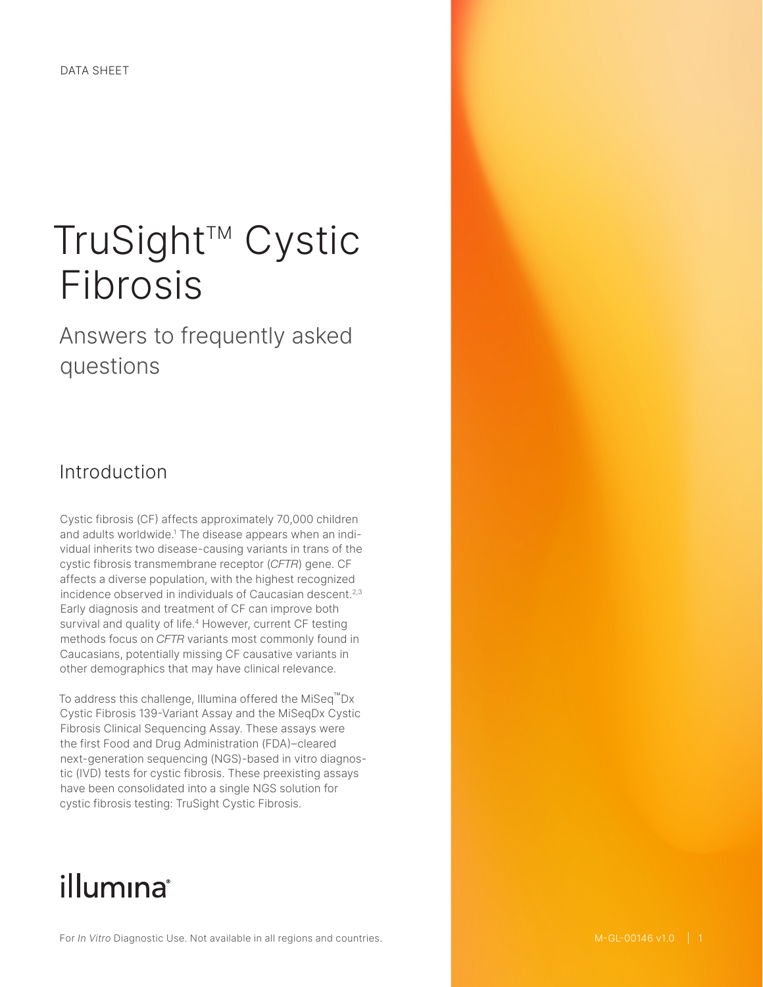# TruSight™ Cystic Fibrosis

Answers to frequently asked questions

## Introduction

Cystic fibrosis (CF) affects approximately 70,000 children and adults worldwide.1 The disease appears when an individual inherits two disease-causing variants in trans of the cystic fibrosis transmembrane receptor (*CFTR*) gene. CF affects a diverse population, with the highest recognized incidence observed in individuals of Caucasian descent.<sup>2,[3](#page-6-0)</sup> Early diagnosis and treatment of CF can improve both survival and quality of life.<sup>4</sup> However, current CF testing methods focus on *CFTR* variants most commonly found in Caucasians, potentially missing CF causative variants in other demographics that may have clinical relevance.

To address this challenge, Illumina offered the MiSeq™Dx Cystic Fibrosis 139-Variant Assay and the MiSeqDx Cystic Fibrosis Clinical Sequencing Assay. These assays were the first Food and Drug Administration (FDA)–cleared next-generation sequencing (NGS)-based in vitro diagnostic (IVD) tests for cystic fibrosis. These preexisting assays have been consolidated into a single NGS solution for cystic fibrosis testing: TruSight Cystic Fibrosis.

## illumina®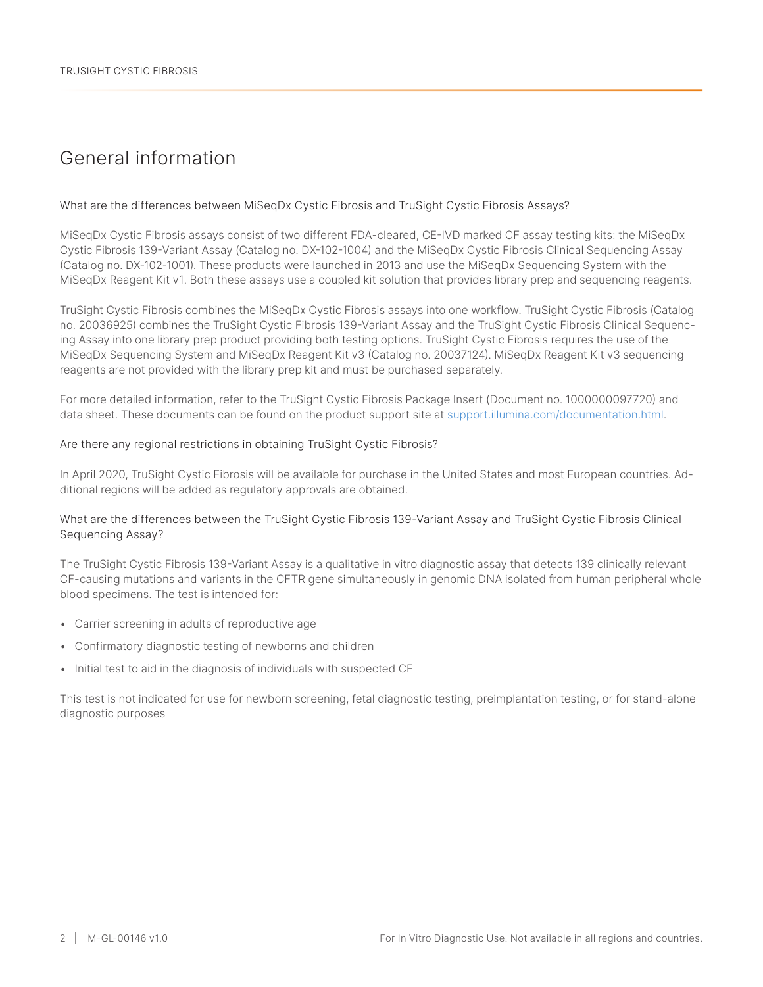## General information

#### What are the differences between MiSeqDx Cystic Fibrosis and TruSight Cystic Fibrosis Assays?

MiSeqDx Cystic Fibrosis assays consist of two different FDA-cleared, CE-IVD marked CF assay testing kits: the MiSeqDx Cystic Fibrosis 139-Variant Assay (Catalog no. DX-102-1004) and the MiSeqDx Cystic Fibrosis Clinical Sequencing Assay (Catalog no. DX-102-1001). These products were launched in 2013 and use the MiSeqDx Sequencing System with the MiSeqDx Reagent Kit v1. Both these assays use a coupled kit solution that provides library prep and sequencing reagents.

TruSight Cystic Fibrosis combines the MiSeqDx Cystic Fibrosis assays into one workflow. TruSight Cystic Fibrosis (Catalog no. 20036925) combines the TruSight Cystic Fibrosis 139-Variant Assay and the TruSight Cystic Fibrosis Clinical Sequencing Assay into one library prep product providing both testing options. TruSight Cystic Fibrosis requires the use of the MiSeqDx Sequencing System and MiSeqDx Reagent Kit v3 (Catalog no. 20037124). MiSeqDx Reagent Kit v3 sequencing reagents are not provided with the library prep kit and must be purchased separately.

For more detailed information, refer to the TruSight Cystic Fibrosis Package Insert (Document no. 1000000097720) and data sheet. These documents can be found on the product support site at support.illumina.com/documentation.html.

#### Are there any regional restrictions in obtaining TruSight Cystic Fibrosis?

In April 2020, TruSight Cystic Fibrosis will be available for purchase in the United States and most European countries. Additional regions will be added as regulatory approvals are obtained.

#### What are the differences between the TruSight Cystic Fibrosis 139-Variant Assay and TruSight Cystic Fibrosis Clinical Sequencing Assay?

The TruSight Cystic Fibrosis 139-Variant Assay is a qualitative in vitro diagnostic assay that detects 139 clinically relevant CF-causing mutations and variants in the CFTR gene simultaneously in genomic DNA isolated from human peripheral whole blood specimens. The test is intended for:

- Carrier screening in adults of reproductive age
- Confirmatory diagnostic testing of newborns and children
- Initial test to aid in the diagnosis of individuals with suspected CF

This test is not indicated for use for newborn screening, fetal diagnostic testing, preimplantation testing, or for stand-alone diagnostic purposes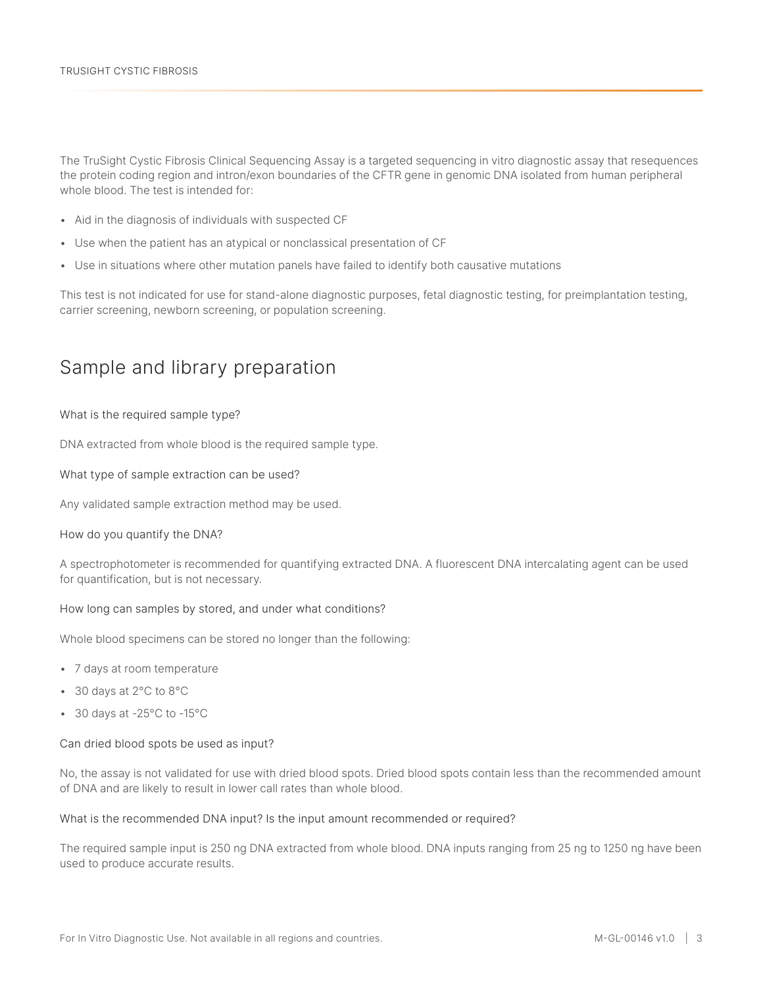The TruSight Cystic Fibrosis Clinical Sequencing Assay is a targeted sequencing in vitro diagnostic assay that resequences the protein coding region and intron/exon boundaries of the CFTR gene in genomic DNA isolated from human peripheral whole blood. The test is intended for:

- Aid in the diagnosis of individuals with suspected CF
- Use when the patient has an atypical or nonclassical presentation of CF
- Use in situations where other mutation panels have failed to identify both causative mutations

This test is not indicated for use for stand-alone diagnostic purposes, fetal diagnostic testing, for preimplantation testing, carrier screening, newborn screening, or population screening.

## Sample and library preparation

#### What is the required sample type?

DNA extracted from whole blood is the required sample type.

#### What type of sample extraction can be used?

Any validated sample extraction method may be used.

#### How do you quantify the DNA?

A spectrophotometer is recommended for quantifying extracted DNA. A fluorescent DNA intercalating agent can be used for quantification, but is not necessary.

#### How long can samples by stored, and under what conditions?

Whole blood specimens can be stored no longer than the following:

- 7 days at room temperature
- 30 days at 2°C to 8°C
- 30 days at -25°C to -15°C

#### Can dried blood spots be used as input?

No, the assay is not validated for use with dried blood spots. Dried blood spots contain less than the recommended amount of DNA and are likely to result in lower call rates than whole blood.

#### What is the recommended DNA input? Is the input amount recommended or required?

The required sample input is 250 ng DNA extracted from whole blood. DNA inputs ranging from 25 ng to 1250 ng have been used to produce accurate results.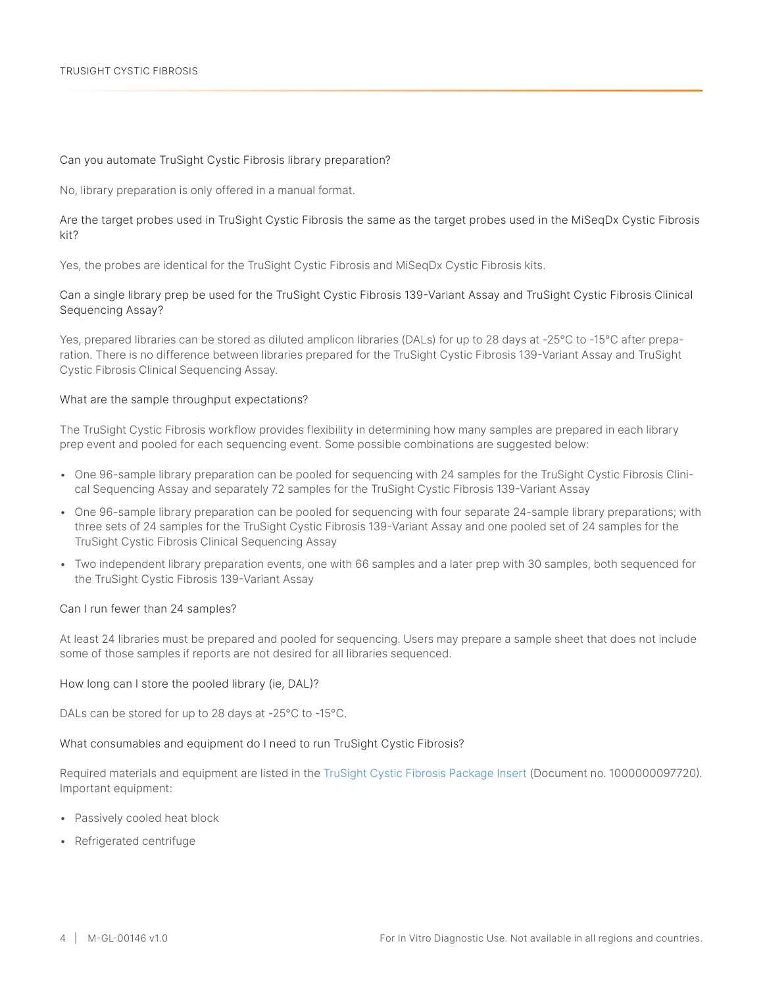#### Can you automate TruSight Cystic Fibrosis library preparation?

No, library preparation is only offered in a manual format.

Are the target probes used in TruSight Cystic Fibrosis the same as the target probes used in the MiSeqDx Cystic Fibrosis kit?

Yes, the probes are identical for the TruSight Cystic Fibrosis and MiSeqDx Cystic Fibrosis kits.

Can a single library prep be used for the TruSight Cystic Fibrosis 139-Variant Assay and TruSight Cystic Fibrosis Clinical Sequencing Assay?

Yes, prepared libraries can be stored as diluted amplicon libraries (DALs) for up to 28 days at -25°C to -15°C after preparation. There is no difference between libraries prepared for the TruSight Cystic Fibrosis 139-Variant Assay and TruSight Cystic Fibrosis Clinical Sequencing Assay.

#### What are the sample throughput expectations?

The TruSight Cystic Fibrosis workflow provides flexibility in determining how many samples are prepared in each library prep event and pooled for each sequencing event. Some possible combinations are suggested below:

- One 96-sample library preparation can be pooled for sequencing with 24 samples for the TruSight Cystic Fibrosis Clinical Sequencing Assay and separately 72 samples for the TruSight Cystic Fibrosis 139-Variant Assay
- One 96-sample library preparation can be pooled for sequencing with four separate 24-sample library preparations; with three sets of 24 samples for the TruSight Cystic Fibrosis 139-Variant Assay and one pooled set of 24 samples for the TruSight Cystic Fibrosis Clinical Sequencing Assay
- Two independent library preparation events, one with 66 samples and a later prep with 30 samples, both sequenced for the TruSight Cystic Fibrosis 139-Variant Assay

#### Can I run fewer than 24 samples?

At least 24 libraries must be prepared and pooled for sequencing. Users may prepare a sample sheet that does not include some of those samples if reports are not desired for all libraries sequenced.

#### How long can I store the pooled library (ie, DAL)?

DALs can be stored for up to 28 days at -25°C to -15°C.

#### What consumables and equipment do I need to run TruSight Cystic Fibrosis?

Required materials and equipment are listed in the [TruSight Cystic Fibrosis Package Insert](https://support.illumina.com//downloads/cystic-fibrosis-139-variant-assay-physician-insert-15052172.html) (Document no. 1000000097720). Important equipment:

- Passively cooled heat block
- Refrigerated centrifuge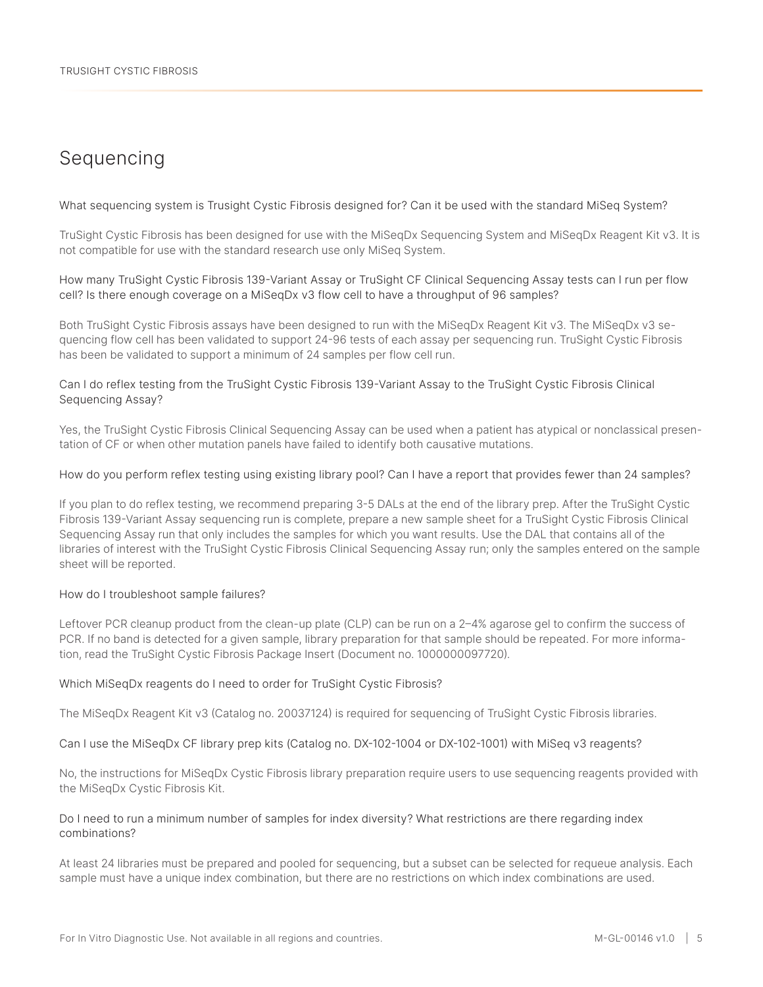## Sequencing

What sequencing system is Trusight Cystic Fibrosis designed for? Can it be used with the standard MiSeq System?

TruSight Cystic Fibrosis has been designed for use with the MiSeqDx Sequencing System and MiSeqDx Reagent Kit v3. It is not compatible for use with the standard research use only MiSeq System.

How many TruSight Cystic Fibrosis 139-Variant Assay or TruSight CF Clinical Sequencing Assay tests can I run per flow cell? Is there enough coverage on a MiSeqDx v3 flow cell to have a throughput of 96 samples?

Both TruSight Cystic Fibrosis assays have been designed to run with the MiSeqDx Reagent Kit v3. The MiSeqDx v3 sequencing flow cell has been validated to support 24-96 tests of each assay per sequencing run. TruSight Cystic Fibrosis has been be validated to support a minimum of 24 samples per flow cell run.

#### Can I do reflex testing from the TruSight Cystic Fibrosis 139-Variant Assay to the TruSight Cystic Fibrosis Clinical Sequencing Assay?

Yes, the TruSight Cystic Fibrosis Clinical Sequencing Assay can be used when a patient has atypical or nonclassical presentation of CF or when other mutation panels have failed to identify both causative mutations.

#### How do you perform reflex testing using existing library pool? Can I have a report that provides fewer than 24 samples?

If you plan to do reflex testing, we recommend preparing 3-5 DALs at the end of the library prep. After the TruSight Cystic Fibrosis 139-Variant Assay sequencing run is complete, prepare a new sample sheet for a TruSight Cystic Fibrosis Clinical Sequencing Assay run that only includes the samples for which you want results. Use the DAL that contains all of the libraries of interest with the TruSight Cystic Fibrosis Clinical Sequencing Assay run; only the samples entered on the sample sheet will be reported.

#### How do I troubleshoot sample failures?

Leftover PCR cleanup product from the clean-up plate (CLP) can be run on a 2–4% agarose gel to confirm the success of PCR. If no band is detected for a given sample, library preparation for that sample should be repeated. For more information, read the TruSight Cystic Fibrosis Package Insert (Document no. 1000000097720).

#### Which MiSeqDx reagents do I need to order for TruSight Cystic Fibrosis?

The MiSeqDx Reagent Kit v3 (Catalog no. 20037124) is required for sequencing of TruSight Cystic Fibrosis libraries.

#### Can I use the MiSeqDx CF library prep kits (Catalog no. DX-102-1004 or DX-102-1001) with MiSeq v3 reagents?

No, the instructions for MiSeqDx Cystic Fibrosis library preparation require users to use sequencing reagents provided with the MiSeqDx Cystic Fibrosis Kit.

#### Do I need to run a minimum number of samples for index diversity? What restrictions are there regarding index combinations?

At least 24 libraries must be prepared and pooled for sequencing, but a subset can be selected for requeue analysis. Each sample must have a unique index combination, but there are no restrictions on which index combinations are used.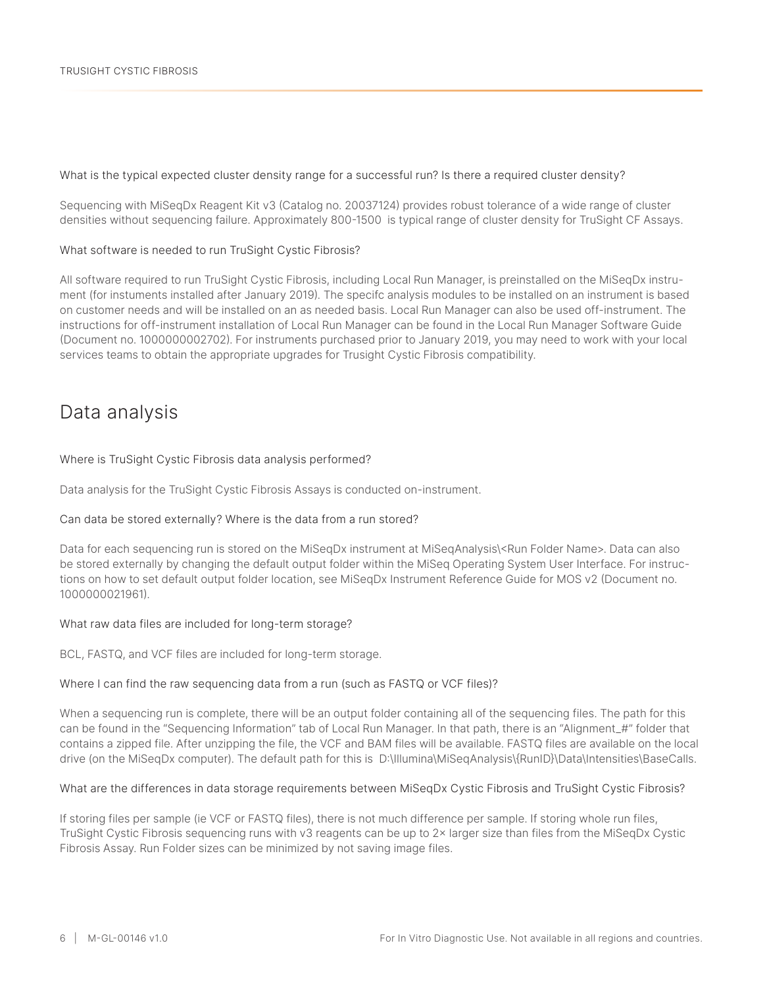#### What is the typical expected cluster density range for a successful run? Is there a required cluster density?

Sequencing with MiSeqDx Reagent Kit v3 (Catalog no. 20037124) provides robust tolerance of a wide range of cluster densities without sequencing failure. Approximately 800-1500 is typical range of cluster density for TruSight CF Assays.

#### What software is needed to run TruSight Cystic Fibrosis?

All software required to run TruSight Cystic Fibrosis, including Local Run Manager, is preinstalled on the MiSeqDx instrument (for instuments installed after January 2019). The specifc analysis modules to be installed on an instrument is based on customer needs and will be installed on an as needed basis. Local Run Manager can also be used off-instrument. The instructions for off-instrument installation of Local Run Manager can be found in the Local Run Manager Software Guide (Document no. 1000000002702). For instruments purchased prior to January 2019, you may need to work with your local services teams to obtain the appropriate upgrades for Trusight Cystic Fibrosis compatibility.

## Data analysis

#### Where is TruSight Cystic Fibrosis data analysis performed?

Data analysis for the TruSight Cystic Fibrosis Assays is conducted on-instrument.

#### Can data be stored externally? Where is the data from a run stored?

Data for each sequencing run is stored on the MiSeqDx instrument at MiSeqAnalysis\<Run Folder Name>. Data can also be stored externally by changing the default output folder within the MiSeq Operating System User Interface. For instructions on how to set default output folder location, see MiSeqDx Instrument Reference Guide for MOS v2 (Document no. 1000000021961).

#### What raw data files are included for long-term storage?

BCL, FASTQ, and VCF files are included for long-term storage.

#### Where I can find the raw sequencing data from a run (such as FASTQ or VCF files)?

When a sequencing run is complete, there will be an output folder containing all of the sequencing files. The path for this can be found in the "Sequencing Information" tab of Local Run Manager. In that path, there is an "Alignment\_#" folder that contains a zipped file. After unzipping the file, the VCF and BAM files will be available. FASTQ files are available on the local drive (on the MiSeqDx computer). The default path for this is D:\Illumina\MiSeqAnalysis\{RunID}\Data\Intensities\BaseCalls.

#### What are the differences in data storage requirements between MiSeqDx Cystic Fibrosis and TruSight Cystic Fibrosis?

If storing files per sample (ie VCF or FASTQ files), there is not much difference per sample. If storing whole run files, TruSight Cystic Fibrosis sequencing runs with v3 reagents can be up to 2× larger size than files from the MiSeqDx Cystic Fibrosis Assay. Run Folder sizes can be minimized by not saving image files.